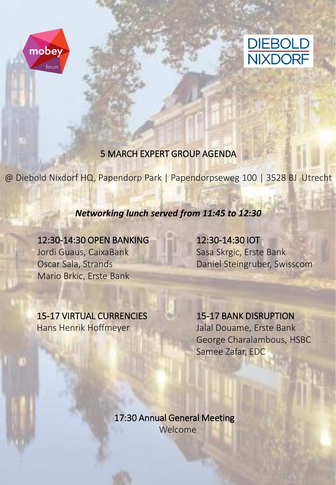



## 5 MARCH EXPERT GROUP AGENDA

@ Diebold Nixdorf HQ, Papendorp Park | Papendorpseweg 100 | 3528 BJ Utrecht

#### *Networking lunch served from 11:45 to 12:30*

## 12:30-14:30 OPEN BANKING

Jordi Guaus, CaixaBank Oscar Sala, Strands Mario Brkic, Erste Bank

# 12:30-14:30 IOT

Sasa Skrgic, Erste Bank Daniel Steingruber, Swisscom

### 15-17 VIRTUAL CURRENCIES Hans Henrik Hoffmeyer

# 15-17 BANK DISRUPTION

Jalal Douame, Erste Bank George Charalambous, HSBC Samee Zafar, EDC

17:30 Annual General Meeting Welcome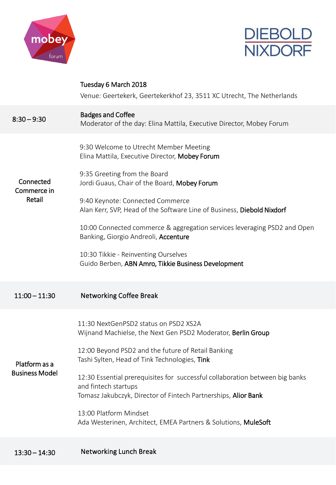



|                                        | Tuesday 6 March 2018<br>Venue: Geertekerk, Geertekerkhof 23, 3511 XC Utrecht, The Netherlands                                                                                                                                                                                                                                                                                                                                                                                                             |
|----------------------------------------|-----------------------------------------------------------------------------------------------------------------------------------------------------------------------------------------------------------------------------------------------------------------------------------------------------------------------------------------------------------------------------------------------------------------------------------------------------------------------------------------------------------|
| $8:30 - 9:30$                          | <b>Badges and Coffee</b><br>Moderator of the day: Elina Mattila, Executive Director, Mobey Forum                                                                                                                                                                                                                                                                                                                                                                                                          |
| Connected<br>Commerce in<br>Retail     | 9:30 Welcome to Utrecht Member Meeting<br>Elina Mattila, Executive Director, Mobey Forum<br>9:35 Greeting from the Board<br>Jordi Guaus, Chair of the Board, Mobey Forum<br>9:40 Keynote: Connected Commerce<br>Alan Kerr, SVP, Head of the Software Line of Business, Diebold Nixdorf<br>10:00 Connected commerce & aggregation services leveraging PSD2 and Open<br>Banking, Giorgio Andreoli, Accenture<br>10:30 Tikkie - Reinventing Ourselves<br>Guido Berben, ABN Amro, Tikkie Business Development |
| $11:00 - 11:30$                        | <b>Networking Coffee Break</b>                                                                                                                                                                                                                                                                                                                                                                                                                                                                            |
| Platform as a<br><b>Business Model</b> | 11:30 NextGenPSD2 status on PSD2 XS2A<br>Wijnand Machielse, the Next Gen PSD2 Moderator, Berlin Group<br>12:00 Beyond PSD2 and the future of Retail Banking<br>Tashi Sylten, Head of Tink Technologies, <b>Tink</b><br>12:30 Essential prerequisites for successful collaboration between big banks<br>and fintech startups<br>Tomasz Jakubczyk, Director of Fintech Partnerships, Alior Bank<br>13:00 Platform Mindset<br>Ada Westerinen, Architect, EMEA Partners & Solutions, MuleSoft                 |
|                                        |                                                                                                                                                                                                                                                                                                                                                                                                                                                                                                           |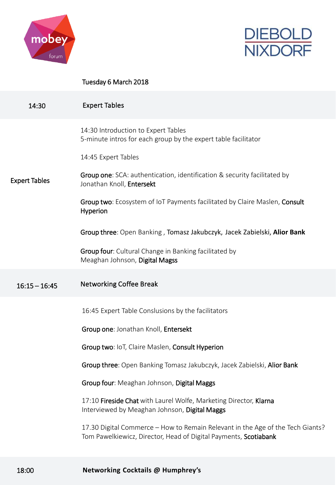



#### Tuesday 6 March 2018

| 14:30                | <b>Expert Tables</b>                                                                                                                               |
|----------------------|----------------------------------------------------------------------------------------------------------------------------------------------------|
|                      | 14:30 Introduction to Expert Tables<br>5-minute intros for each group by the expert table facilitator                                              |
|                      | 14:45 Expert Tables                                                                                                                                |
| <b>Expert Tables</b> | <b>Group one:</b> SCA: authentication, identification & security facilitated by<br>Jonathan Knoll, Entersekt                                       |
|                      | Group two: Ecosystem of IoT Payments facilitated by Claire Maslen, Consult<br>Hyperion                                                             |
|                      | Group three: Open Banking, Tomasz Jakubczyk, Jacek Zabielski, Alior Bank                                                                           |
|                      | Group four: Cultural Change in Banking facilitated by<br>Meaghan Johnson, Digital Magss                                                            |
| $16:15 - 16:45$      | <b>Networking Coffee Break</b>                                                                                                                     |
|                      | 16:45 Expert Table Conslusions by the facilitators                                                                                                 |
|                      | Group one: Jonathan Knoll, Entersekt                                                                                                               |
|                      | Group two: IoT, Claire Maslen, Consult Hyperion                                                                                                    |
|                      | Group three: Open Banking Tomasz Jakubczyk, Jacek Zabielski, Alior Bank                                                                            |
|                      | Group four: Meaghan Johnson, Digital Maggs                                                                                                         |
|                      | 17:10 Fireside Chat with Laurel Wolfe, Marketing Director, Klarna<br>Interviewed by Meaghan Johnson, Digital Maggs                                 |
|                      | 17.30 Digital Commerce – How to Remain Relevant in the Age of the Tech Giants?<br>Tom Pawelkiewicz, Director, Head of Digital Payments, Scotiabank |